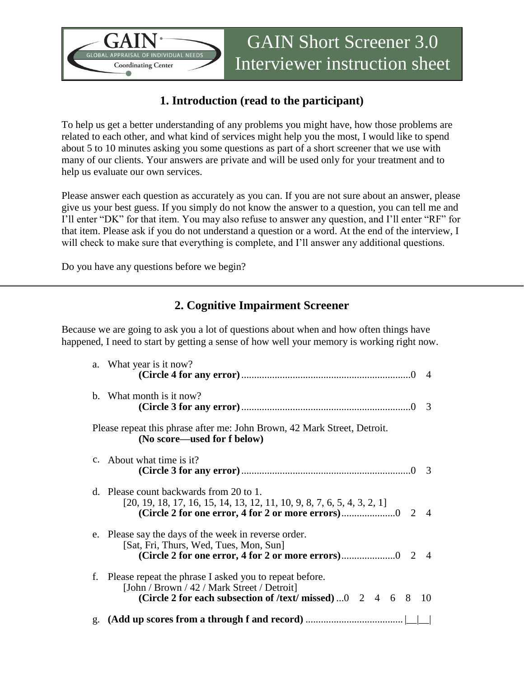

# **1. Introduction (read to the participant)**

To help us get a better understanding of any problems you might have, how those problems are related to each other, and what kind of services might help you the most, I would like to spend about 5 to 10 minutes asking you some questions as part of a short screener that we use with many of our clients. Your answers are private and will be used only for your treatment and to help us evaluate our own services.

Please answer each question as accurately as you can. If you are not sure about an answer, please give us your best guess. If you simply do not know the answer to a question, you can tell me and I'll enter "DK" for that item. You may also refuse to answer any question, and I'll enter "RF" for that item. Please ask if you do not understand a question or a word. At the end of the interview, I will check to make sure that everything is complete, and I'll answer any additional questions.

Do you have any questions before we begin?

## **2. Cognitive Impairment Screener**

Because we are going to ask you a lot of questions about when and how often things have happened, I need to start by getting a sense of how well your memory is working right now.

|                                                                                                         | a. What year is it now?                                                                                                                                                                      | $\overline{4}$ |  |
|---------------------------------------------------------------------------------------------------------|----------------------------------------------------------------------------------------------------------------------------------------------------------------------------------------------|----------------|--|
|                                                                                                         | b. What month is it now?                                                                                                                                                                     | 3              |  |
| Please repeat this phrase after me: John Brown, 42 Mark Street, Detroit.<br>(No score—used for f below) |                                                                                                                                                                                              |                |  |
|                                                                                                         | c. About what time is it?                                                                                                                                                                    | 3              |  |
|                                                                                                         | d. Please count backwards from 20 to 1.<br>$[20, 19, 18, 17, 16, 15, 14, 13, 12, 11, 10, 9, 8, 7, 6, 5, 4, 3, 2, 1]$<br>2                                                                    | $\overline{4}$ |  |
|                                                                                                         | e. Please say the days of the week in reverse order.<br>[Sat, Fri, Thurs, Wed, Tues, Mon, Sun]                                                                                               |                |  |
| f.                                                                                                      | Please repeat the phrase I asked you to repeat before.<br>[John / Brown / 42 / Mark Street / Detroit]<br>(Circle 2 for each subsection of /text/ missed) $0 \quad 2 \quad 4 \quad 6 \quad 8$ | 10             |  |
|                                                                                                         |                                                                                                                                                                                              |                |  |